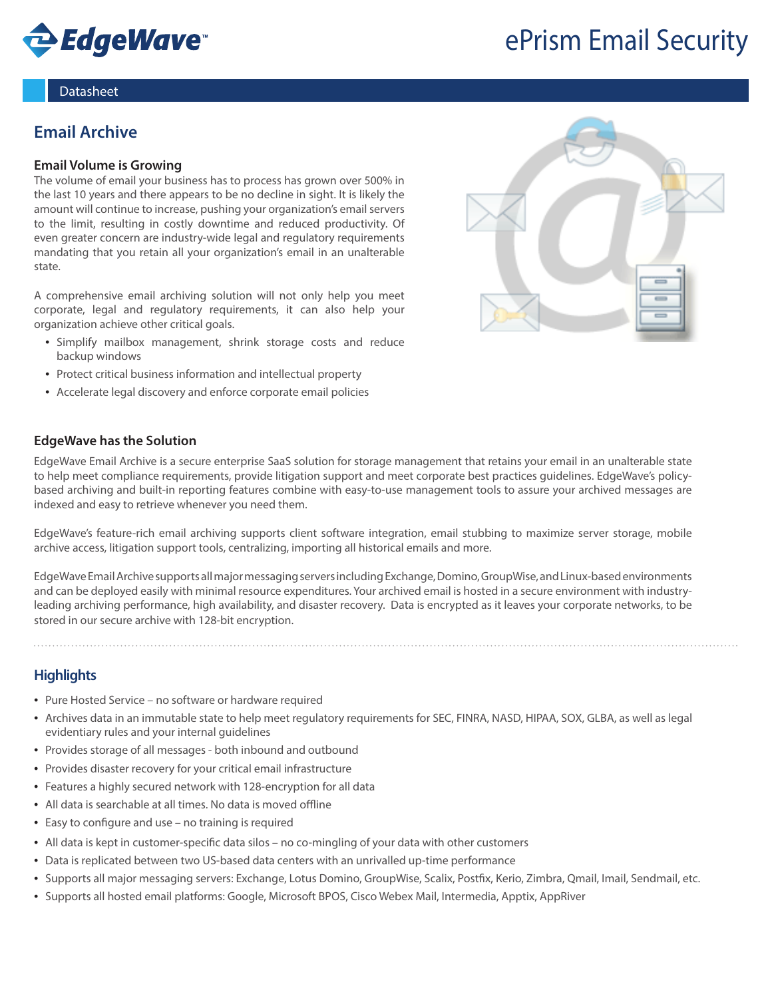

# ePrism Email Security

#### **Datasheet**

# **Email Archive**

#### **Email Volume is Growing**

The volume of email your business has to process has grown over 500% in the last 10 years and there appears to be no decline in sight. It is likely the amount will continue to increase, pushing your organization's email servers to the limit, resulting in costly downtime and reduced productivity. Of even greater concern are industry-wide legal and regulatory requirements mandating that you retain all your organization's email in an unalterable state.

A comprehensive email archiving solution will not only help you meet corporate, legal and regulatory requirements, it can also help your organization achieve other critical goals.

- Simplify mailbox management, shrink storage costs and reduce backup windows
- Protect critical business information and intellectual property
- Accelerate legal discovery and enforce corporate email policies

## **EdgeWave has the Solution**

EdgeWave Email Archive is a secure enterprise SaaS solution for storage management that retains your email in an unalterable state to help meet compliance requirements, provide litigation support and meet corporate best practices guidelines. EdgeWave's policybased archiving and built-in reporting features combine with easy-to-use management tools to assure your archived messages are indexed and easy to retrieve whenever you need them.

EdgeWave's feature-rich email archiving supports client software integration, email stubbing to maximize server storage, mobile archive access, litigation support tools, centralizing, importing all historical emails and more.

EdgeWave Email Archive supports all major messaging servers including Exchange, Domino, GroupWise, and Linux-based environments and can be deployed easily with minimal resource expenditures. Your archived email is hosted in a secure environment with industryleading archiving performance, high availability, and disaster recovery. Data is encrypted as it leaves your corporate networks, to be stored in our secure archive with 128-bit encryption.

# **Highlights**

- Pure Hosted Service no software or hardware required
- • Archives data in an immutable state to help meet regulatory requirements for SEC, FINRA, NASD, HIPAA, SOX, GLBA, as well as legal evidentiary rules and your internal guidelines
- Provides storage of all messages both inbound and outbound
- Provides disaster recovery for your critical email infrastructure
- Features a highly secured network with 128-encryption for all data
- All data is searchable at all times. No data is moved offline
- Easy to configure and use no training is required
- All data is kept in customer-specific data silos no co-mingling of your data with other customers
- Data is replicated between two US-based data centers with an unrivalled up-time performance
- • Supports all major messaging servers: Exchange, Lotus Domino, GroupWise, Scalix, Postfix, Kerio, Zimbra, Qmail, Imail, Sendmail, etc.
- • Supports all hosted email platforms: Google, Microsoft BPOS, Cisco Webex Mail, Intermedia, Apptix, AppRiver